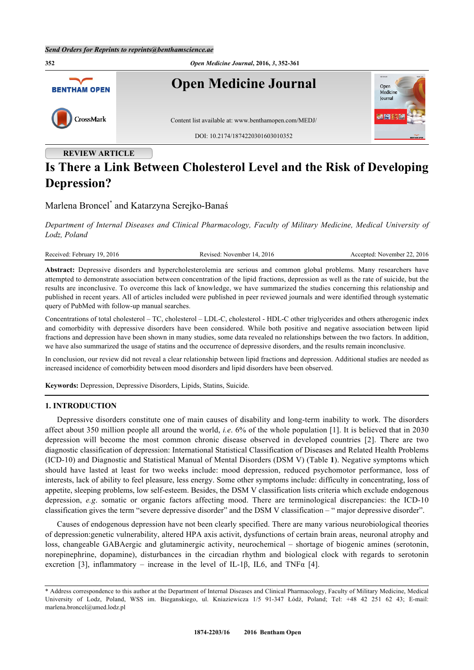

# **Is There a Link Between Cholesterol Level and the Risk of Developing Depression?**

Marlena Broncel[\\*](#page-0-0) and Katarzyna Serejko-Banaś

*Department of Internal Diseases and Clinical Pharmacology, Faculty of Military Medicine, Medical University of Lodz, Poland*

Received: February 19, 2016 Revised: November 14, 2016 Accepted: November 22, 2016

**Abstract:** Depressive disorders and hypercholesterolemia are serious and common global problems. Many researchers have attempted to demonstrate association between concentration of the lipid fractions, depression as well as the rate of suicide, but the results are inconclusive. To overcome this lack of knowledge, we have summarized the studies concerning this relationship and published in recent years. All of articles included were published in peer reviewed journals and were identified through systematic query of PubMed with follow-up manual searches.

Concentrations of total cholesterol – TC, cholesterol – LDL-C, cholesterol - HDL-C other triglycerides and others atherogenic index and comorbidity with depressive disorders have been considered. While both positive and negative association between lipid fractions and depression have been shown in many studies, some data revealed no relationships between the two factors. In addition, we have also summarized the usage of statins and the occurrence of depressive disorders, and the results remain inconclusive.

In conclusion, our review did not reveal a clear relationship between lipid fractions and depression. Additional studies are needed as increased incidence of comorbidity between mood disorders and lipid disorders have been observed.

**Keywords:** Depression, Depressive Disorders, Lipids, Statins, Suicide.

#### **1. INTRODUCTION**

Depressive disorders constitute one of main causes of disability and long-term inability to work. The disorders affect about 350 million people all around the world, *i.e*. 6% of the whole population [[1\]](#page-7-0). It is believed that in 2030 depression will become the most common chronic disease observed in developed countries[[2\]](#page-7-1). There are two diagnostic classification of depression: International Statistical Classification of Diseases and Related Health Problems (ICD-10) and Diagnostic and Statistical Manual of Mental Disorders (DSM V) (Table **[1](#page-1-0)**). Negative symptoms which should have lasted at least for two weeks include: mood depression, reduced psychomotor performance, loss of interests, lack of ability to feel pleasure, less energy. Some other symptoms include: difficulty in concentrating, loss of appetite, sleeping problems, low self-esteem. Besides, the DSM V classification lists criteria which exclude endogenous depression, *e.g.* somatic or organic factors affecting mood. There are terminological discrepancies: the ICD-10 classification gives the term "severe depressive disorder" and the DSM V classification – " major depressive disorder".

Causes of endogenous depression have not been clearly specified. There are many various neurobiological theories of depression:genetic vulnerability, altered HPA axis activit, dysfunctions of certain brain areas, neuronal atrophy and loss, changeable GABAergic and glutaminergic activity, neurochemical – shortage of biogenic amines (serotonin, norepinephrine, dopamine), disturbances in the circadian rhythm and biological clock with regards to serotonin excretion[[3\]](#page-7-2), inflammatory – increase in the level of IL-1β, IL6, and TNF $\alpha$  [[4\]](#page-7-3).

<span id="page-0-0"></span><sup>\*</sup> Address correspondence to this author at the Department of Internal Diseases and Clinical Pharmacology, Faculty of Military Medicine, Medical University of Lodz, Poland, WSS im. Bieganskiego, ul. Kniaziewicza 1/5 91-347 Łódź, Poland; Tel: +48 42 251 62 43; E-mail: [marlena.broncel@umed.lodz.pl](mailto:marlena.broncel@umed.lodz.pl)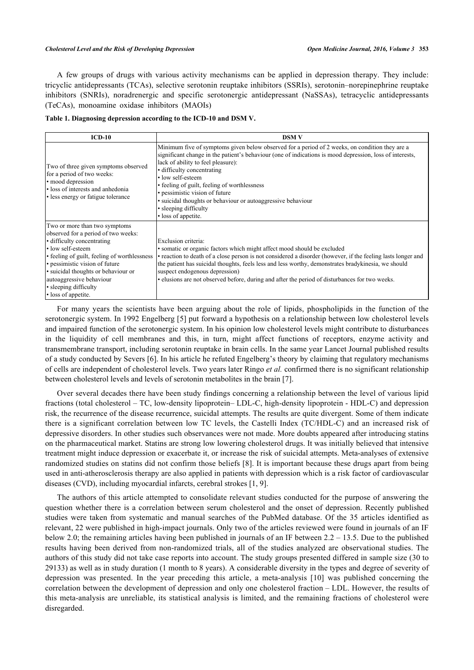A few groups of drugs with various activity mechanisms can be applied in depression therapy. They include: tricyclic antidepressants (TCAs), selective serotonin reuptake inhibitors (SSRIs), serotonin–norepinephrine reuptake inhibitors (SNRIs), noradrenergic and specific serotonergic antidepressant (NaSSAs), tetracyclic antidepressants (TeCAs), monoamine oxidase inhibitors (MAOIs)

<span id="page-1-0"></span>

|  | Table 1. Diagnosing depression according to the ICD-10 and DSM V. |  |  |
|--|-------------------------------------------------------------------|--|--|
|  |                                                                   |  |  |

| $ICD-10$                                                                                                                                                                                                                                                                                                                     | <b>DSM V</b>                                                                                                                                                                                                                                                                                                                                                                                                                                                                                          |
|------------------------------------------------------------------------------------------------------------------------------------------------------------------------------------------------------------------------------------------------------------------------------------------------------------------------------|-------------------------------------------------------------------------------------------------------------------------------------------------------------------------------------------------------------------------------------------------------------------------------------------------------------------------------------------------------------------------------------------------------------------------------------------------------------------------------------------------------|
| Two of three given symptoms observed<br>for a period of two weeks:<br>· mood depression<br>· loss of interests and anhedonia<br>• less energy or fatigue tolerance                                                                                                                                                           | Minimum five of symptoms given below observed for a period of 2 weeks, on condition they are a<br>significant change in the patient's behaviour (one of indications is mood depression, loss of interests,<br>lack of ability to feel pleasure):<br>• difficulty concentrating<br>• low self-esteem<br>• feeling of guilt, feeling of worthlessness<br>• pessimistic vision of future<br>· suicidal thoughts or behaviour or autoaggressive behaviour<br>• sleeping difficulty<br>• loss of appetite. |
| Two or more than two symptoms<br>observed for a period of two weeks:<br>• difficulty concentrating<br>• low self-esteem<br>• feeling of guilt, feeling of worthlessness<br>· pessimistic vision of future<br>· suicidal thoughts or behaviour or<br>autoaggressive behaviour<br>• sleeping difficulty<br>· loss of appetite. | Exclusion criteria:<br>• somatic or organic factors which might affect mood should be excluded<br>• reaction to death of a close person is not considered a disorder (however, if the feeling lasts longer and<br>the patient has suicidal thoughts, feels less and less worthy, demonstrates bradykinesia, we should<br>suspect endogenous depression)<br>• elusions are not observed before, during and after the period of disturbances for two weeks.                                             |

For many years the scientists have been arguing about the role of lipids, phospholipids in the function of the serotonergic system. In 1992 Engelberg [[5\]](#page-7-4) put forward a hypothesis on a relationship between low cholesterol levels and impaired function of the serotonergic system. In his opinion low cholesterol levels might contribute to disturbances in the liquidity of cell membranes and this, in turn, might affect functions of receptors, enzyme activity and transmembrane transport, including serotonin reuptake in brain cells. In the same year Lancet Journal published results of a study conducted by Severs [\[6](#page-7-5)]. In his article he refuted Engelberg's theory by claiming that regulatory mechanisms of cells are independent of cholesterol levels. Two years later Ringo *et al.* confirmed there is no significant relationship between cholesterol levels and levels of serotonin metabolites in the brain [\[7](#page-7-6)].

Over several decades there have been study findings concerning a relationship between the level of various lipid fractions (total cholesterol – TC, low-density lipoprotein– LDL-C, high-density lipoprotein - HDL-C) and depression risk, the recurrence of the disease recurrence, suicidal attempts. The results are quite divergent. Some of them indicate there is a significant correlation between low TC levels, the Castelli Index (TC/HDL-C) and an increased risk of depressive disorders. In other studies such observances were not made. More doubts appeared after introducing statins on the pharmaceutical market. Statins are strong low lowering cholesterol drugs. It was initially believed that intensive treatment might induce depression or exacerbate it, or increase the risk of suicidal attempts. Meta-analyses of extensive randomized studies on statins did not confirm those beliefs [[8](#page-7-7)]. It is important because these drugs apart from being used in anti-atherosclerosis therapy are also applied in patients with depression which is a risk factor of cardiovascular diseases (CVD), including myocardial infarcts, cerebral strokes [\[1](#page-7-0), [9](#page-7-8)].

The authors of this article attempted to consolidate relevant studies conducted for the purpose of answering the question whether there is a correlation between serum cholesterol and the onset of depression. Recently published studies were taken from systematic and manual searches of the PubMed database. Of the 35 articles identified as relevant, 22 were published in high-impact journals. Only two of the articles reviewed were found in journals of an IF below 2.0; the remaining articles having been published in journals of an IF between 2.2 – 13.5. Due to the published results having been derived from non-randomized trials, all of the studies analyzed are observational studies. The authors of this study did not take case reports into account. The study groups presented differed in sample size (30 to 29133) as well as in study duration (1 month to 8 years). A considerable diversity in the types and degree of severity of depression was presented. In the year preceding this article, a meta-analysis[[10\]](#page-8-0) was published concerning the correlation between the development of depression and only one cholesterol fraction – LDL. However, the results of this meta-analysis are unreliable, its statistical analysis is limited, and the remaining fractions of cholesterol were disregarded.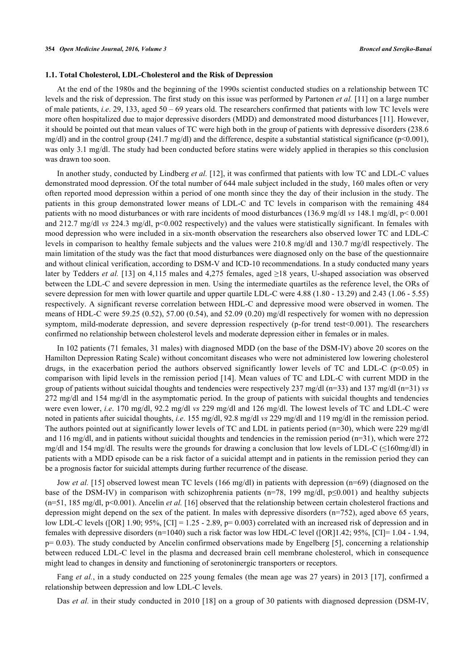## **1.1. Total Cholesterol, LDL-Cholesterol and the Risk of Depression**

At the end of the 1980s and the beginning of the 1990s scientist conducted studies on a relationship between TC levels and the risk of depression. The first study on this issue was performed by Partonen *et al.* [[11\]](#page-8-1) on a large number of male patients, *i.e*. 29, 133, aged 50 – 69 years old. The researchers confirmed that patients with low TC levels were more often hospitalized due to major depressive disorders (MDD) and demonstrated mood disturbances [[11\]](#page-8-1). However, it should be pointed out that mean values of TC were high both in the group of patients with depressive disorders (238.6 mg/dl) and in the control group (241.7 mg/dl) and the difference, despite a substantial statistical significance ( $p<0.001$ ), was only 3.1 mg/dl. The study had been conducted before statins were widely applied in therapies so this conclusion was drawn too soon.

In another study, conducted by Lindberg *et al.* [[12\]](#page-8-2), it was confirmed that patients with low TC and LDL-C values demonstrated mood depression. Of the total number of 644 male subject included in the study, 160 males often or very often reported mood depression within a period of one month since they the day of their inclusion in the study. The patients in this group demonstrated lower means of LDL-C and TC levels in comparison with the remaining 484 patients with no mood disturbances or with rare incidents of mood disturbances (136.9 mg/dl *vs* 148.1 mg/dl, p< 0.001 and 212.7 mg/dl *vs* 224.3 mg/dl, p<0.002 respectively) and the values were statistically significant. In females with mood depression who were included in a six-month observation the researchers also observed lower TC and LDL-C levels in comparison to healthy female subjects and the values were 210.8 mg/dl and 130.7 mg/dl respectively. The main limitation of the study was the fact that mood disturbances were diagnosed only on the base of the questionnaire and without clinical verification, according to DSM-V and ICD-10 recommendations. In a study conducted many years later by Tedders *et al.* [[13](#page-8-3)] on 4,115 males and 4,275 females, aged ≥18 years, U-shaped association was observed between the LDL-C and severe depression in men. Using the intermediate quartiles as the reference level, the ORs of severe depression for men with lower quartile and upper quartile LDL-C were 4.88 (1.80 - 13.29) and 2.43 (1.06 - 5.55) respectively. A significant reverse correlation between HDL-C and depressive mood were observed in women. The means of HDL-C were 59.25 (0.52), 57.00 (0.54), and 52.09 (0.20) mg/dl respectively for women with no depression symptom, mild-moderate depression, and severe depression respectively (p-for trend test < 0.001). The researchers confirmed no relationship between cholesterol levels and moderate depression either in females or in males.

In 102 patients (71 females, 31 males) with diagnosed MDD (on the base of the DSM-IV) above 20 scores on the Hamilton Depression Rating Scale) without concomitant diseases who were not administered low lowering cholesterol drugs, in the exacerbation period the authors observed significantly lower levels of TC and LDL-C ( $p<0.05$ ) in comparison with lipid levels in the remission period [[14\]](#page-8-4). Mean values of TC and LDL-C with current MDD in the group of patients without suicidal thoughts and tendencies were respectively 237 mg/dl (n=33) and 137 mg/dl (n=31) *vs* 272 mg/dl and 154 mg/dl in the asymptomatic period. In the group of patients with suicidal thoughts and tendencies were even lower, *i.e*. 170 mg/dl, 92.2 mg/dl *vs* 229 mg/dl and 126 mg/dl. The lowest levels of TC and LDL-C were noted in patients after suicidal thoughts, *i.e*. 155 mg/dl, 92.8 mg/dl *vs* 229 mg/dl and 119 mg/dl in the remission period. The authors pointed out at significantly lower levels of TC and LDL in patients period (n=30), which were 229 mg/dl and 116 mg/dl, and in patients without suicidal thoughts and tendencies in the remission period (n=31), which were 272 mg/dl and 154 mg/dl. The results were the grounds for drawing a conclusion that low levels of LDL-C ( $\leq$ 160mg/dl) in patients with a MDD episode can be a risk factor of a suicidal attempt and in patients in the remission period they can be a prognosis factor for suicidal attempts during further recurrence of the disease.

Jow *et al.* [[15](#page-8-5)] observed lowest mean TC levels (166 mg/dl) in patients with depression (n=69) (diagnosed on the base of the DSM-IV) in comparison with schizophrenia patients (n=78, 199 mg/dl, p $\leq 0.001$ ) and healthy subjects (n=51, 185 mg/dl, p<0.001). Ancelin *et al.* [\[16](#page-8-6)] observed that the relationship between certain cholesterol fractions and depression might depend on the sex of the patient. In males with depressive disorders (n=752), aged above 65 years, low LDL-C levels ([OR] 1.90; 95%, [CI] = 1.25 - 2.89, p= 0.003) correlated with an increased risk of depression and in females with depressive disorders (n=1040) such a risk factor was low HDL-C level ([OR]1.42; 95%, [CI]= 1.04 - 1.94,  $p= 0.03$ ). The study conducted by Ancelin confirmed observations made by Engelberg [\[5\]](#page-7-4), concerning a relationship between reduced LDL-C level in the plasma and decreased brain cell membrane cholesterol, which in consequence might lead to changes in density and functioning of serotoninergic transporters or receptors.

Fang *et al.*, in a study conducted on 225 young females (the mean age was 27 years) in 2013 [\[17\]](#page-8-7), confirmed a relationship between depression and low LDL-C levels.

Das *et al.* in their study conducted in 2010 [[18\]](#page-8-8) on a group of 30 patients with diagnosed depression (DSM-IV,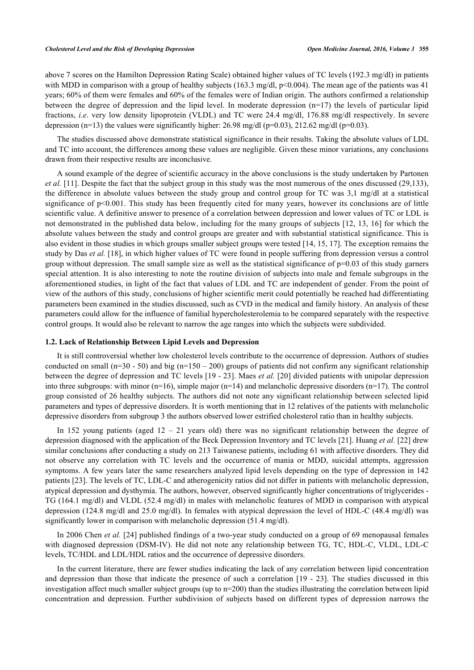above 7 scores on the Hamilton Depression Rating Scale) obtained higher values of TC levels (192.3 mg/dl) in patients with MDD in comparison with a group of healthy subjects (163.3 mg/dl, p<0.004). The mean age of the patients was 41 years; 60% of them were females and 60% of the females were of Indian origin. The authors confirmed a relationship between the degree of depression and the lipid level. In moderate depression (n=17) the levels of particular lipid fractions, *i.e*. very low density lipoprotein (VLDL) and TC were 24.4 mg/dl, 176.88 mg/dl respectively. In severe depression (n=13) the values were significantly higher: 26.98 mg/dl (p=0.03), 212.62 mg/dl (p=0.03).

The studies discussed above demonstrate statistical significance in their results. Taking the absolute values of LDL and TC into account, the differences among these values are negligible. Given these minor variations, any conclusions drawn from their respective results are inconclusive.

A sound example of the degree of scientific accuracy in the above conclusions is the study undertaken by Partonen *et al.* [\[11\]](#page-8-1). Despite the fact that the subject group in this study was the most numerous of the ones discussed (29,133), the difference in absolute values between the study group and control group for TC was 3,1 mg/dl at a statistical significance of p<0.001. This study has been frequently cited for many years, however its conclusions are of little scientific value. A definitive answer to presence of a correlation between depression and lower values of TC or LDL is not demonstrated in the published data below, including for the many groups of subjects [[12,](#page-8-2) [13](#page-8-3), [16](#page-8-6)] for which the absolute values between the study and control groups are greater and with substantial statistical significance. This is also evident in those studies in which groups smaller subject groups were tested [[14,](#page-8-4) [15,](#page-8-5) [17\]](#page-8-7). The exception remains the study by Das *et al.* [[18\]](#page-8-8), in which higher values of TC were found in people suffering from depression versus a control group without depression. The small sample size as well as the statistical significance of p=0.03 of this study garners special attention. It is also interesting to note the routine division of subjects into male and female subgroups in the aforementioned studies, in light of the fact that values of LDL and TC are independent of gender. From the point of view of the authors of this study, conclusions of higher scientific merit could potentially be reached had differentiating parameters been examined in the studies discussed, such as CVD in the medical and family history. An analysis of these parameters could allow for the influence of familial hypercholesterolemia to be compared separately with the respective control groups. It would also be relevant to narrow the age ranges into which the subjects were subdivided.

### **1.2. Lack of Relationship Between Lipid Levels and Depression**

It is still controversial whether low cholesterol levels contribute to the occurrence of depression. Authors of studies conducted on small (n=30 - 50) and big (n=150 – 200) groups of patients did not confirm any significant relationship between the degree of depression and TC levels [[19](#page-8-9) - [23\]](#page-8-10). Maes *et al.* [[20](#page-8-11)] divided patients with unipolar depression into three subgroups: with minor  $(n=16)$ , simple major  $(n=14)$  and melancholic depressive disorders  $(n=17)$ . The control group consisted of 26 healthy subjects. The authors did not note any significant relationship between selected lipid parameters and types of depressive disorders. It is worth mentioning that in 12 relatives of the patients with melancholic depressive disorders from subgroup 3 the authors observed lower estrified cholesterol ratio than in healthy subjects.

In 152 young patients (aged  $12 - 21$  years old) there was no significant relationship between the degree of depression diagnosed with the application of the Beck Depression Inventory and TC levels [[21\]](#page-8-12). Huang *et al.* [[22\]](#page-8-13) drew similar conclusions after conducting a study on 213 Taiwanese patients, including 61 with affective disorders. They did not observe any correlation with TC levels and the occurrence of mania or MDD, suicidal attempts, aggression symptoms. A few years later the same researchers analyzed lipid levels depending on the type of depression in 142 patients [[23](#page-8-10)]. The levels of TC, LDL-C and atherogenicity ratios did not differ in patients with melancholic depression, atypical depression and dysthymia. The authors, however, observed significantly higher concentrations of triglycerides - TG (164.1 mg/dl) and VLDL (52.4 mg/dl) in males with melancholic features of MDD in comparison with atypical depression (124.8 mg/dl and 25.0 mg/dl). In females with atypical depression the level of HDL-C (48.4 mg/dl) was significantly lower in comparison with melancholic depression (51.4 mg/dl).

In 2006 Chen *et al.* [\[24\]](#page-8-14) published findings of a two-year study conducted on a group of 69 menopausal females with diagnosed depression (DSM-IV). He did not note any relationship between TG, TC, HDL-C, VLDL, LDL-C levels, TC/HDL and LDL/HDL ratios and the occurrence of depressive disorders.

In the current literature, there are fewer studies indicating the lack of any correlation between lipid concentration and depression than those that indicate the presence of such a correlation [[19](#page-8-9) - [23](#page-8-10)]. The studies discussed in this investigation affect much smaller subject groups (up to n=200) than the studies illustrating the correlation between lipid concentration and depression. Further subdivision of subjects based on different types of depression narrows the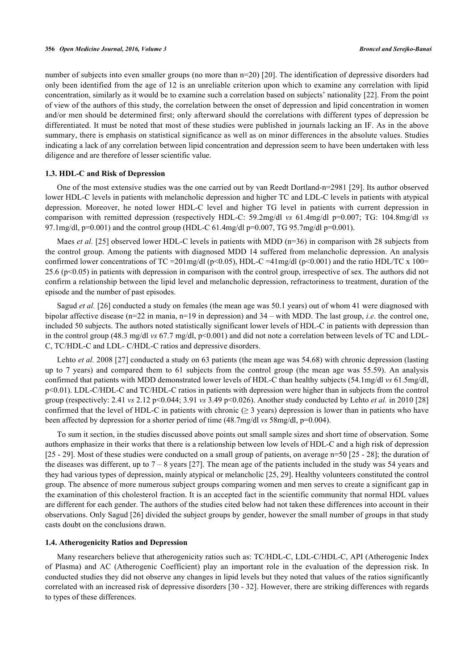number of subjects into even smaller groups (no more than n=20) [[20](#page-8-11)]. The identification of depressive disorders had only been identified from the age of 12 is an unreliable criterion upon which to examine any correlation with lipid concentration, similarly as it would be to examine such a correlation based on subjects' nationality [\[22](#page-8-13)]. From the point of view of the authors of this study, the correlation between the onset of depression and lipid concentration in women and/or men should be determined first; only afterward should the correlations with different types of depression be differentiated. It must be noted that most of these studies were published in journals lacking an IF. As in the above summary, there is emphasis on statistical significance as well as on minor differences in the absolute values. Studies indicating a lack of any correlation between lipid concentration and depression seem to have been undertaken with less diligence and are therefore of lesser scientific value.

## **1.3. HDL-C and Risk of Depression**

One of the most extensive studies was the one carried out by van Reedt Dortland-n=2981 [[29\]](#page-9-0). Its author observed lower HDL-C levels in patients with melancholic depression and higher TC and LDL-C levels in patients with atypical depression. Moreover, he noted lower HDL-C level and higher TG level in patients with current depression in comparison with remitted depression (respectively HDL-C: 59.2mg/dl *vs* 61.4mg/dl p=0.007; TG: 104.8mg/dl *vs* 97.1mg/dl,  $p=0.001$ ) and the control group (HDL-C 61.4mg/dl  $p=0.007$ , TG 95.7mg/dl  $p=0.001$ ).

Maes *et al.* [\[25](#page-8-15)] observed lower HDL-C levels in patients with MDD (n=36) in comparison with 28 subjects from the control group. Among the patients with diagnosed MDD 14 suffered from melancholic depression. An analysis confirmed lower concentrations of TC = 201mg/dl (p<0.05), HDL-C = 41mg/dl (p<0.001) and the ratio HDL/TC x 100= 25.6 (p<0.05) in patients with depression in comparison with the control group, irrespective of sex. The authors did not confirm a relationship between the lipid level and melancholic depression, refractoriness to treatment, duration of the episode and the number of past episodes.

Sagud *et al.* [[26\]](#page-8-16) conducted a study on females (the mean age was 50.1 years) out of whom 41 were diagnosed with bipolar affective disease (n=22 in mania, n=19 in depression) and 34 – with MDD. The last group, *i.e*. the control one, included 50 subjects. The authors noted statistically significant lower levels of HDL-C in patients with depression than in the control group (48.3 mg/dl *vs* 67.7 mg/dl, p<0.001) and did not note a correlation between levels of TC and LDL-C, TC/HDL-C and LDL- C/HDL-C ratios and depressive disorders.

Lehto *et al.* 2008 [[27\]](#page-8-17) conducted a study on 63 patients (the mean age was 54.68) with chronic depression (lasting up to 7 years) and compared them to 61 subjects from the control group (the mean age was 55.59). An analysis confirmed that patients with MDD demonstrated lower levels of HDL-C than healthy subjects (54.1mg/dl *vs* 61.5mg/dl, p<0.01). LDL-C/HDL-C and TC/HDL-C ratios in patients with depression were higher than in subjects from the control group (respectively: 2.41 *vs* 2.12 p<0.044; 3.91 *vs* 3.49 p<0.026). Another study conducted by Lehto *et al.* in 2010 [\[28](#page-8-18)] confirmed that the level of HDL-C in patients with chronic ( $\geq$  3 years) depression is lower than in patients who have been affected by depression for a shorter period of time (48.7mg/dl *vs* 58mg/dl, p=0.004).

To sum it section, in the studies discussed above points out small sample sizes and short time of observation. Some authors emphasize in their works that there is a relationship between low levels of HDL-C and a high risk of depression [\[25](#page-8-15) - [29\]](#page-9-0). Most of these studies were conducted on a small group of patients, on average n=50 [[25](#page-8-15) - [28](#page-8-18)]; the duration of the diseases was different, up to  $7 - 8$  years [[27](#page-8-17)]. The mean age of the patients included in the study was 54 years and they had various types of depression, mainly atypical or melancholic [\[25](#page-8-15), [29](#page-9-0)]. Healthy volunteers constituted the control group. The absence of more numerous subject groups comparing women and men serves to create a significant gap in the examination of this cholesterol fraction. It is an accepted fact in the scientific community that normal HDL values are different for each gender. The authors of the studies cited below had not taken these differences into account in their observations. Only Sagud [[26\]](#page-8-16) divided the subject groups by gender, however the small number of groups in that study casts doubt on the conclusions drawn.

## **1.4. Atherogenicity Ratios and Depression**

Many researchers believe that atherogenicity ratios such as: TC/HDL-C, LDL-C/HDL-C, API (Atherogenic Index of Plasma) and AC (Atherogenic Coefficient) play an important role in the evaluation of the depression risk. In conducted studies they did not observe any changes in lipid levels but they noted that values of the ratios significantly correlated with an increased risk of depressive disorders [\[30](#page-9-1) - [32\]](#page-9-2). However, there are striking differences with regards to types of these differences.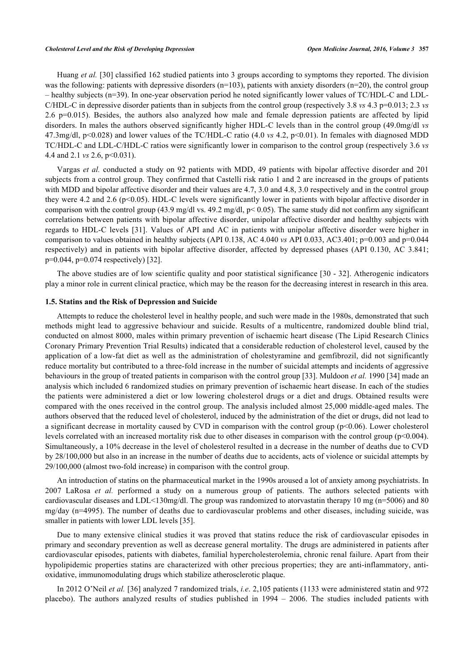Huang *et al.* [[30\]](#page-9-1) classified 162 studied patients into 3 groups according to symptoms they reported. The division was the following: patients with depressive disorders ( $n=103$ ), patients with anxiety disorders ( $n=20$ ), the control group – healthy subjects (n=39). In one-year observation period he noted significantly lower values of TC/HDL-C and LDL-C/HDL-C in depressive disorder patients than in subjects from the control group (respectively 3.8 *vs* 4.3 p=0.013; 2.3 *vs* 2.6 p=0.015). Besides, the authors also analyzed how male and female depression patients are affected by lipid disorders. In males the authors observed significantly higher HDL-C levels than in the control group (49.0mg/dl *vs* 47.3mg/dl, p<0.028) and lower values of the TC/HDL-C ratio (4.0 *vs* 4.2, p<0.01). In females with diagnosed MDD TC/HDL-C and LDL-C/HDL-C ratios were significantly lower in comparison to the control group (respectively 3.6 *vs* 4.4 and 2.1 *vs* 2.6, p<0.031).

Vargas *et al.* conducted a study on 92 patients with MDD, 49 patients with bipolar affective disorder and 201 subjects from a control group. They confirmed that Castelli risk ratio 1 and 2 are increased in the groups of patients with MDD and bipolar affective disorder and their values are 4.7, 3.0 and 4.8, 3.0 respectively and in the control group they were 4.2 and 2.6 (p<0.05). HDL-C levels were significantly lower in patients with bipolar affective disorder in comparison with the control group (43.9 mg/dl vs. 49.2 mg/dl,  $p< 0.05$ ). The same study did not confirm any significant correlations between patients with bipolar affective disorder, unipolar affective disorder and healthy subjects with regards to HDL-C levels[[31](#page-9-3)]. Values of API and AC in patients with unipolar affective disorder were higher in comparison to values obtained in healthy subjects (API 0.138, AC 4.040 *vs* API 0.033, AC3.401; p=0.003 and p=0.044 respectively) and in patients with bipolar affective disorder, affected by depressed phases (API 0.130, AC 3.841; p=0.044, p=0.074 respectively) [[32\]](#page-9-2).

The above studies are of low scientific quality and poor statistical significance [\[30](#page-9-1) - [32](#page-9-2)]. Atherogenic indicators play a minor role in current clinical practice, which may be the reason for the decreasing interest in research in this area.

# **1.5. Statins and the Risk of Depression and Suicide**

Attempts to reduce the cholesterol level in healthy people, and such were made in the 1980s, demonstrated that such methods might lead to aggressive behaviour and suicide. Results of a multicentre, randomized double blind trial, conducted on almost 8000, males within primary prevention of ischaemic heart disease (The Lipid Research Clinics Coronary Primary Prevention Trial Results) indicated that a considerable reduction of cholesterol level, caused by the application of a low-fat diet as well as the administration of cholestyramine and gemfibrozil, did not significantly reduce mortality but contributed to a three-fold increase in the number of suicidal attempts and incidents of aggressive behaviours in the group of treated patients in comparison with the control group [\[33](#page-9-4)]. Muldoon *et al.* 1990 [\[34](#page-9-5)] made an analysis which included 6 randomized studies on primary prevention of ischaemic heart disease. In each of the studies the patients were administered a diet or low lowering cholesterol drugs or a diet and drugs. Obtained results were compared with the ones received in the control group. The analysis included almost 25,000 middle-aged males. The authors observed that the reduced level of cholesterol, induced by the administration of the diet or drugs, did not lead to a significant decrease in mortality caused by CVD in comparison with the control group (p<0.06). Lower cholesterol levels correlated with an increased mortality risk due to other diseases in comparison with the control group (p<0.004). Simultaneously, a 10% decrease in the level of cholesterol resulted in a decrease in the number of deaths due to CVD by 28/100,000 but also in an increase in the number of deaths due to accidents, acts of violence or suicidal attempts by 29/100,000 (almost two-fold increase) in comparison with the control group.

An introduction of statins on the pharmaceutical market in the 1990s aroused a lot of anxiety among psychiatrists. In 2007 LaRosa *et al.* performed a study on a numerous group of patients. The authors selected patients with cardiovascular diseases and LDL<130mg/dl. The group was randomized to atorvastatin therapy 10 mg (n=5006) and 80 mg/day (n=4995). The number of deaths due to cardiovascular problems and other diseases, including suicide, was smaller in patients with lower LDL levels [\[35](#page-9-6)].

Due to many extensive clinical studies it was proved that statins reduce the risk of cardiovascular episodes in primary and secondary prevention as well as decrease general mortality. The drugs are administered in patients after cardiovascular episodes, patients with diabetes, familial hypercholesterolemia, chronic renal failure. Apart from their hypolipidemic properties statins are characterized with other precious properties; they are anti-inflammatory, antioxidative, immunomodulating drugs which stabilize atherosclerotic plaque.

In 2012 O'Neil *et al.* [\[36](#page-9-7)] analyzed 7 randomized trials, *i.e*. 2,105 patients (1133 were administered statin and 972 placebo). The authors analyzed results of studies published in 1994 – 2006. The studies included patients with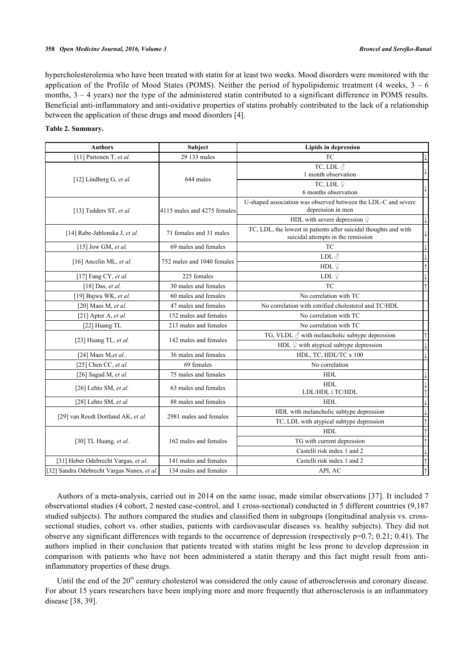#### **358** *Open Medicine Journal, 2016, Volume 3 Broncel and Serejko-Banaś*

hypercholesterolemia who have been treated with statin for at least two weeks. Mood disorders were monitored with the application of the Profile of Mood States (POMS). Neither the period of hypolipidemic treatment (4 weeks,  $3 - 6$ ) months,  $3 - 4$  years) nor the type of the administered statin contributed to a significant difference in POMS results. Beneficial anti-inflammatory and anti-oxidative properties of statins probably contributed to the lack of a relationship between the application of these drugs and mood disorders [\[4](#page-7-3)].

## <span id="page-6-0"></span>**Table 2. Summary.**

| <b>Authors</b>                             | <b>Subject</b>              | <b>Lipids in depression</b>                                                         |              |  |
|--------------------------------------------|-----------------------------|-------------------------------------------------------------------------------------|--------------|--|
| [11] Partonen T, et al.                    | 29 133 males                | <b>TC</b>                                                                           |              |  |
|                                            |                             | TC, LDL $\delta$                                                                    |              |  |
| [12] Lindberg G, et al.                    | 644 males                   | 1 month observation                                                                 |              |  |
|                                            |                             | TC, LDL $\mathcal Q$                                                                |              |  |
|                                            |                             | 6 months observation                                                                |              |  |
|                                            |                             | U-shaped association was observed between the LDL-C and severe<br>depression in men |              |  |
| [13] Tedders ST, et al.                    | 4115 males and 4275 females | HDL with severe depression $\frac{1}{x}$                                            |              |  |
|                                            |                             | TC, LDL, the lowest in patients after suicidal thoughts and with                    |              |  |
| [14] Rabe-Jablonska J, et al.              | 71 females and 31 males     | suicidal attempts in the remission                                                  |              |  |
| [15] Jow GM, et al.                        | 69 males and females        | <b>TC</b>                                                                           | $\downarrow$ |  |
|                                            |                             | LDL $\text{\o}^{\scriptscriptstyle\wedge}$                                          | $\downarrow$ |  |
| [16] Ancelin ML, et al.                    | 752 males and 1040 females  | HDL $\mathcal Q$                                                                    | $\uparrow$   |  |
| [17] Fang CY, et al.                       | 225 females                 | LDL $\stackrel{\bigcirc}{+}$                                                        |              |  |
| [18] Das, et al.                           | 30 males and females        | <b>TC</b>                                                                           | $\uparrow$   |  |
| [19] Bajwa WK, et al.                      | 60 males and females        | No correlation with TC                                                              |              |  |
| [20] Maes M, et al.                        | 47 males and females        | No correlation with estrified cholesterol and TC/HDL                                |              |  |
| [21] Apter A, et al.                       | 152 males and females       | No correlation with TC                                                              |              |  |
| [22] Huang TL                              | 213 males and females       | No correlation with TC                                                              |              |  |
|                                            | 142 males and females       | TG, VLDL $\delta$ with melancholic subtype depression                               | $\uparrow$   |  |
| [23] Huang TL, et al.                      |                             | HDL $\varphi$ with atypical subtype depression                                      | $\downarrow$ |  |
| [24] Maes M, et al                         | 36 males and females        | HDL, TC, HDL/TC x 100                                                               | $\downarrow$ |  |
| [25] Chen CC, et al.                       | 69 females                  | No correlation                                                                      |              |  |
| [26] Sagud M, et al.                       | 75 males and females        | <b>HDL</b>                                                                          | $\downarrow$ |  |
| [26] Lehto SM, et al.                      | 63 males and females        | <b>HDL</b>                                                                          | $\downarrow$ |  |
|                                            |                             | LDL/HDL i TC/HDL                                                                    |              |  |
| [28] Lehto SM, et al.                      | 88 males and females        | <b>HDL</b>                                                                          | $\downarrow$ |  |
| [29] van Reedt Dortland AK, et al.         | 2981 males and females      | HDL with melancholic subtype depression                                             | $\downarrow$ |  |
|                                            |                             | TC, LDL with atypical subtype depression                                            | $\uparrow$   |  |
|                                            |                             | <b>HDL</b>                                                                          | $\uparrow$   |  |
| [30] TL Huang, et al.                      | 162 males and females       | TG with current depression                                                          | $\uparrow$   |  |
|                                            |                             | Castelli risk index 1 and 2                                                         | $\downarrow$ |  |
| [31] Heber Odebrecht Vargas, et al.        | 141 males and females       | Castelli risk index 1 and 2                                                         | $\uparrow$   |  |
| [32] Sandra Odebrecht Vargas Nunes, et al. | 134 males and females       | API, AC                                                                             | $\uparrow$   |  |

Authors of a meta-analysis, carried out in 2014 on the same issue, made similar observations [\[37\]](#page-9-8). It included 7 observational studies (4 cohort, 2 nested case-control, and 1 cross-sectional) conducted in 5 different countries (9,187 studied subjects). The authors compared the studies and classified them in subgroups (longitudinal analysis vs. crosssectional studies, cohort vs. other studies, patients with cardiovascular diseases vs. healthy subjects). They did not observe any significant differences with regards to the occurrence of depression (respectively p=0.7; 0.21; 0.41). The authors implied in their conclusion that patients treated with statins might be less prone to develop depression in comparison with patients who have not been administered a statin therapy and this fact might result from antiinflammatory properties of these drugs.

Until the end of the 20<sup>th</sup> century cholesterol was considered the only cause of atherosclerosis and coronary disease. For about 15 years researchers have been implying more and more frequently that atherosclerosis is an inflammatory disease [\[38](#page-9-9), [39](#page-9-10)].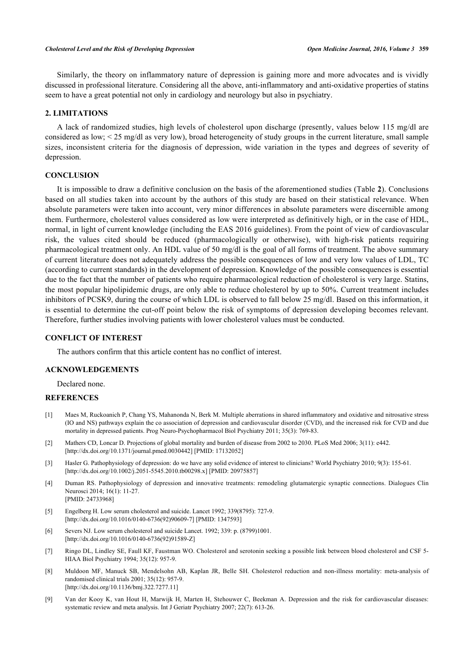Similarly, the theory on inflammatory nature of depression is gaining more and more advocates and is vividly discussed in professional literature. Considering all the above, anti-inflammatory and anti-oxidative properties of statins seem to have a great potential not only in cardiology and neurology but also in psychiatry.

## **2. LIMITATIONS**

A lack of randomized studies, high levels of cholesterol upon discharge (presently, values below 115 mg/dl are considered as low; < 25 mg/dl as very low), broad heterogeneity of study groups in the current literature, small sample sizes, inconsistent criteria for the diagnosis of depression, wide variation in the types and degrees of severity of depression.

# **CONCLUSION**

It is impossible to draw a definitive conclusion on the basis of the aforementioned studies (Table **[2](#page-6-0)**). Conclusions based on all studies taken into account by the authors of this study are based on their statistical relevance. When absolute parameters were taken into account, very minor differences in absolute parameters were discernible among them. Furthermore, cholesterol values considered as low were interpreted as definitively high, or in the case of HDL, normal, in light of current knowledge (including the EAS 2016 guidelines). From the point of view of cardiovascular risk, the values cited should be reduced (pharmacologically or otherwise), with high-risk patients requiring pharmacological treatment only. An HDL value of 50 mg/dl is the goal of all forms of treatment. The above summary of current literature does not adequately address the possible consequences of low and very low values of LDL, TC (according to current standards) in the development of depression. Knowledge of the possible consequences is essential due to the fact that the number of patients who require pharmacological reduction of cholesterol is very large. Statins, the most popular hipolipidemic drugs, are only able to reduce cholesterol by up to 50%. Current treatment includes inhibitors of PCSK9, during the course of which LDL is observed to fall below 25 mg/dl. Based on this information, it is essential to determine the cut-off point below the risk of symptoms of depression developing becomes relevant. Therefore, further studies involving patients with lower cholesterol values must be conducted.

# **CONFLICT OF INTEREST**

The authors confirm that this article content has no conflict of interest.

# **ACKNOWLEDGEMENTS**

Declared none.

# **REFERENCES**

- <span id="page-7-0"></span>[1] Maes M, Ruckoanich P, Chang YS, Mahanonda N, Berk M. Multiple aberrations in shared inflammatory and oxidative and nitrosative stress (IO and NS) pathways explain the co association of depression and cardiovascular disorder (CVD), and the increased risk for CVD and due mortality in depressed patients. Prog Neuro-Psychopharmacol Biol Psychiatry 2011; 35(3): 769-83.
- <span id="page-7-1"></span>[2] Mathers CD, Loncar D. Projections of global mortality and burden of disease from 2002 to 2030. PLoS Med 2006; 3(11): e442. [\[http://dx.doi.org/10.1371/journal.pmed.0030442](http://dx.doi.org/10.1371/journal.pmed.0030442)] [PMID: [17132052\]](http://www.ncbi.nlm.nih.gov/pubmed/17132052)
- <span id="page-7-2"></span>[3] Hasler G. Pathophysiology of depression: do we have any solid evidence of interest to clinicians? World Psychiatry 2010; 9(3): 155-61. [\[http://dx.doi.org/10.1002/j.2051-5545.2010.tb00298.x\]](http://dx.doi.org/10.1002/j.2051-5545.2010.tb00298.x) [PMID: [20975857](http://www.ncbi.nlm.nih.gov/pubmed/20975857)]
- <span id="page-7-3"></span>[4] Duman RS. Pathophysiology of depression and innovative treatments: remodeling glutamatergic synaptic connections. Dialogues Clin Neurosci 2014; 16(1): 11-27. [PMID: [24733968\]](http://www.ncbi.nlm.nih.gov/pubmed/24733968)
- <span id="page-7-4"></span>[5] Engelberg H. Low serum cholesterol and suicide. Lancet 1992; 339(8795): 727-9. [\[http://dx.doi.org/10.1016/0140-6736\(92\)90609-7](http://dx.doi.org/10.1016/0140-6736(92)90609-7)] [PMID: [1347593](http://www.ncbi.nlm.nih.gov/pubmed/1347593)]
- <span id="page-7-5"></span>[6] Severs NJ. Low serum cholesterol and suicide Lancet. 1992; 339: p. (8799)1001. [\[http://dx.doi.org/10.1016/0140-6736\(92\)91589-Z](http://dx.doi.org/10.1016/0140-6736(92)91589-Z)]
- <span id="page-7-6"></span>[7] Ringo DL, Lindley SE, Faull KF, Faustman WO. Cholesterol and serotonin seeking a possible link between blood cholesterol and CSF 5- HIAA Biol Psychiatry 1994; 35(12): 957-9.
- <span id="page-7-7"></span>[8] Muldoon MF, Manuck SB, Mendelsohn AB, Kaplan JR, Belle SH. Cholesterol reduction and non-illness mortality: meta-analysis of randomised clinical trials 2001; 35(12): 957-9. [\[http://dx.doi.org/10.1136/bmj.322.7277.11](http://dx.doi.org/10.1136/bmj.322.7277.11)]
- <span id="page-7-8"></span>[9] Van der Kooy K, van Hout H, Marwijk H, Marten H, Stehouwer C, Beekman A. Depression and the risk for cardiovascular diseases: systematic review and meta analysis. Int J Geriatr Psychiatry 2007; 22(7): 613-26.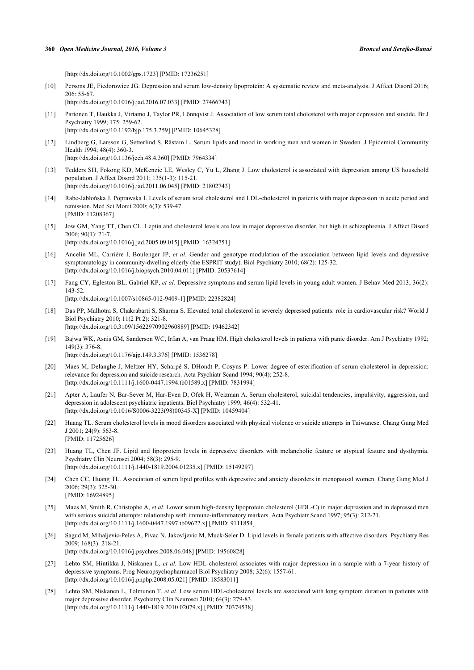[\[http://dx.doi.org/10.1002/gps.1723\]](http://dx.doi.org/10.1002/gps.1723) [PMID: [17236251](http://www.ncbi.nlm.nih.gov/pubmed/17236251)]

- <span id="page-8-0"></span>[10] Persons JE, Fiedorowicz JG. Depression and serum low-density lipoprotein: A systematic review and meta-analysis. J Affect Disord 2016; 206: 55-67. [\[http://dx.doi.org/10.1016/j.jad.2016.07.033\]](http://dx.doi.org/10.1016/j.jad.2016.07.033) [PMID: [27466743](http://www.ncbi.nlm.nih.gov/pubmed/27466743)]
- <span id="page-8-1"></span>[11] Partonen T, Haukka J, Virtamo J, Taylor PR, Lönnqvist J. Association of low serum total cholesterol with major depression and suicide. Br J Psychiatry 1999; 175: 259-62. [\[http://dx.doi.org/10.1192/bjp.175.3.259](http://dx.doi.org/10.1192/bjp.175.3.259)] [PMID: [10645328\]](http://www.ncbi.nlm.nih.gov/pubmed/10645328)
- <span id="page-8-2"></span>[12] Lindberg G, Larsson G, Setterlind S, Råstam L. Serum lipids and mood in working men and women in Sweden. J Epidemiol Community Health 1994; 48(4): 360-3. [\[http://dx.doi.org/10.1136/jech.48.4.360](http://dx.doi.org/10.1136/jech.48.4.360)] [PMID: [7964334\]](http://www.ncbi.nlm.nih.gov/pubmed/7964334)
- <span id="page-8-3"></span>[13] Tedders SH, Fokong KD, McKenzie LE, Wesley C, Yu L, Zhang J. Low cholesterol is associated with depression among US household population. J Affect Disord 2011; 135(1-3): 115-21. [\[http://dx.doi.org/10.1016/j.jad.2011.06.045\]](http://dx.doi.org/10.1016/j.jad.2011.06.045) [PMID: [21802743](http://www.ncbi.nlm.nih.gov/pubmed/21802743)]
- <span id="page-8-4"></span>[14] Rabe-Jabłońska J, Poprawska I. Levels of serum total cholesterol and LDL-cholesterol in patients with major depression in acute period and remission. Med Sci Monit 2000; 6(3): 539-47. [PMID: [11208367\]](http://www.ncbi.nlm.nih.gov/pubmed/11208367)
- <span id="page-8-5"></span>[15] Jow GM, Yang TT, Chen CL. Leptin and cholesterol levels are low in major depressive disorder, but high in schizophrenia. J Affect Disord 2006; 90(1): 21-7. [\[http://dx.doi.org/10.1016/j.jad.2005.09.015\]](http://dx.doi.org/10.1016/j.jad.2005.09.015) [PMID: [16324751](http://www.ncbi.nlm.nih.gov/pubmed/16324751)]
- <span id="page-8-6"></span>[16] Ancelin ML, Carrière I, Boulenger JP, *et al.* Gender and genotype modulation of the association between lipid levels and depressive symptomatology in community-dwelling elderly (the ESPRIT study). Biol Psychiatry 2010; 68(2): 125-32. [\[http://dx.doi.org/10.1016/j.biopsych.2010.04.011\]](http://dx.doi.org/10.1016/j.biopsych.2010.04.011) [PMID: [20537614](http://www.ncbi.nlm.nih.gov/pubmed/20537614)]
- <span id="page-8-7"></span>[17] Fang CY, Egleston BL, Gabriel KP, *et al.* Depressive symptoms and serum lipid levels in young adult women. J Behav Med 2013; 36(2): 143-52. [\[http://dx.doi.org/10.1007/s10865-012-9409-1\]](http://dx.doi.org/10.1007/s10865-012-9409-1) [PMID: [22382824](http://www.ncbi.nlm.nih.gov/pubmed/22382824)]
- <span id="page-8-8"></span>[18] Das PP, Malhotra S, Chakrabarti S, Sharma S. Elevated total cholesterol in severely depressed patients: role in cardiovascular risk? World J Biol Psychiatry 2010; 11(2 Pt 2): 321-8. [\[http://dx.doi.org/10.3109/15622970902960889\]](http://dx.doi.org/10.3109/15622970902960889) [PMID: [19462342](http://www.ncbi.nlm.nih.gov/pubmed/19462342)]
- <span id="page-8-9"></span>[19] Bajwa WK, Asnis GM, Sanderson WC, Irfan A, van Praag HM. High cholesterol levels in patients with panic disorder. Am J Psychiatry 1992;  $149(3)$ : 376-8. [\[http://dx.doi.org/10.1176/ajp.149.3.376\]](http://dx.doi.org/10.1176/ajp.149.3.376) [PMID: [1536278](http://www.ncbi.nlm.nih.gov/pubmed/1536278)]
- <span id="page-8-11"></span>[20] Maes M, Delanghe J, Meltzer HY, Scharpé S, DHondt P, Cosyns P. Lower degree of esterification of serum cholesterol in depression: relevance for depression and suicide research. Acta Psychiatr Scand 1994; 90(4): 252-8. [\[http://dx.doi.org/10.1111/j.1600-0447.1994.tb01589.x\]](http://dx.doi.org/10.1111/j.1600-0447.1994.tb01589.x) [PMID: [7831994](http://www.ncbi.nlm.nih.gov/pubmed/7831994)]
- <span id="page-8-12"></span>[21] Apter A, Laufer N, Bar-Sever M, Har-Even D, Ofek H, Weizman A. Serum cholesterol, suicidal tendencies, impulsivity, aggression, and depression in adolescent psychiatric inpatients. Biol Psychiatry 1999; 46(4): 532-41. [\[http://dx.doi.org/10.1016/S0006-3223\(98\)00345-X\]](http://dx.doi.org/10.1016/S0006-3223(98)00345-X) [PMID: [10459404](http://www.ncbi.nlm.nih.gov/pubmed/10459404)]
- <span id="page-8-13"></span>[22] Huang TL. Serum cholesterol levels in mood disorders associated with physical violence or suicide attempts in Taiwanese. Chang Gung Med J 2001; 24(9): 563-8. [PMID: [11725626\]](http://www.ncbi.nlm.nih.gov/pubmed/11725626)
- <span id="page-8-10"></span>[23] Huang TL, Chen JF. Lipid and lipoprotein levels in depressive disorders with melancholic feature or atypical feature and dysthymia. Psychiatry Clin Neurosci 2004; 58(3): 295-9. [\[http://dx.doi.org/10.1111/j.1440-1819.2004.01235.x\]](http://dx.doi.org/10.1111/j.1440-1819.2004.01235.x) [PMID: [15149297](http://www.ncbi.nlm.nih.gov/pubmed/15149297)]
- <span id="page-8-14"></span>[24] Chen CC, Huang TL. Association of serum lipid profiles with depressive and anxiety disorders in menopausal women. Chang Gung Med J 2006; 29(3): 325-30. [PMID: [16924895\]](http://www.ncbi.nlm.nih.gov/pubmed/16924895)
- <span id="page-8-15"></span>[25] Maes M, Smith R, Christophe A, et al. Lower serum high-density lipoprotein cholesterol (HDL-C) in major depression and in depressed men with serious suicidal attempts: relationship with immune-inflammatory markers. Acta Psychiatr Scand 1997; 95(3): 212-21. [\[http://dx.doi.org/10.1111/j.1600-0447.1997.tb09622.x\]](http://dx.doi.org/10.1111/j.1600-0447.1997.tb09622.x) [PMID: [9111854](http://www.ncbi.nlm.nih.gov/pubmed/9111854)]
- <span id="page-8-16"></span>[26] Sagud M, Mihaljevic-Peles A, Pivac N, Jakovljevic M, Muck-Seler D. Lipid levels in female patients with affective disorders. Psychiatry Res 2009; 168(3): 218-21. [\[http://dx.doi.org/10.1016/j.psychres.2008.06.048](http://dx.doi.org/10.1016/j.psychres.2008.06.048)] [PMID: [19560828\]](http://www.ncbi.nlm.nih.gov/pubmed/19560828)
- <span id="page-8-17"></span>[27] Lehto SM, Hintikka J, Niskanen L, *et al.* Low HDL cholesterol associates with major depression in a sample with a 7-year history of depressive symptoms. Prog Neuropsychopharmacol Biol Psychiatry 2008; 32(6): 1557-61. [\[http://dx.doi.org/10.1016/j.pnpbp.2008.05.021](http://dx.doi.org/10.1016/j.pnpbp.2008.05.021)] [PMID: [18583011\]](http://www.ncbi.nlm.nih.gov/pubmed/18583011)
- <span id="page-8-18"></span>[28] Lehto SM, Niskanen L, Tolmunen T, *et al.* Low serum HDL-cholesterol levels are associated with long symptom duration in patients with major depressive disorder. Psychiatry Clin Neurosci 2010; 64(3): 279-83. [\[http://dx.doi.org/10.1111/j.1440-1819.2010.02079.x\]](http://dx.doi.org/10.1111/j.1440-1819.2010.02079.x) [PMID: [20374538](http://www.ncbi.nlm.nih.gov/pubmed/20374538)]